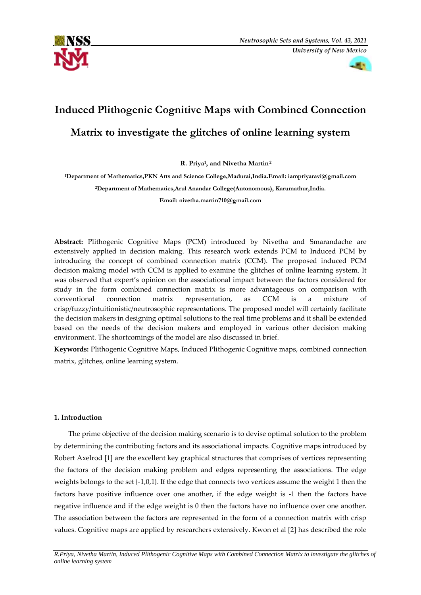



# **Induced Plithogenic Cognitive Maps with Combined Connection**

# **Matrix to investigate the glitches of online learning system**

**R. Priya1, and Nivetha Martin2**

**1Department of Mathematics,PKN Arts and Science College,Madurai,India.Email: iampriyaravi@gmail.com 2Department of Mathematics,Arul Anandar College(Autonomous), Karumathur,India. Email: nivetha.martin710@gmail.com** 

**Abstract:** Plithogenic Cognitive Maps (PCM) introduced by Nivetha and Smarandache are extensively applied in decision making. This research work extends PCM to Induced PCM by introducing the concept of combined connection matrix (CCM). The proposed induced PCM decision making model with CCM is applied to examine the glitches of online learning system. It was observed that expert's opinion on the associational impact between the factors considered for study in the form combined connection matrix is more advantageous on comparison with conventional connection matrix representation, as CCM is a mixture crisp/fuzzy/intuitionistic/neutrosophic representations. The proposed model will certainly facilitate the decision makers in designing optimal solutions to the real time problems and it shall be extended based on the needs of the decision makers and employed in various other decision making environment. The shortcomings of the model are also discussed in brief.

**Keywords:** Plithogenic Cognitive Maps, Induced Plithogenic Cognitive maps, combined connection matrix, glitches, online learning system.

# **1. Introduction**

The prime objective of the decision making scenario is to devise optimal solution to the problem by determining the contributing factors and its associational impacts. Cognitive maps introduced by Robert Axelrod [1] are the excellent key graphical structures that comprises of vertices representing the factors of the decision making problem and edges representing the associations. The edge weights belongs to the set {-1,0,1}. If the edge that connects two vertices assume the weight 1 then the factors have positive influence over one another, if the edge weight is -1 then the factors have negative influence and if the edge weight is 0 then the factors have no influence over one another. The association between the factors are represented in the form of a connection matrix with crisp values. Cognitive maps are applied by researchers extensively. Kwon et al [2] has described the role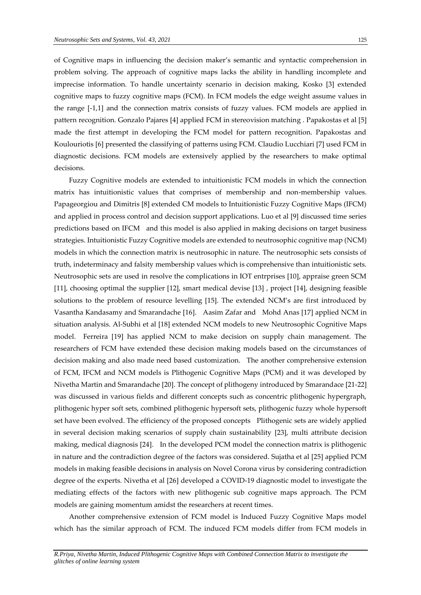of Cognitive maps in influencing the decision maker's semantic and syntactic comprehension in problem solving. The approach of cognitive maps lacks the ability in handling incomplete and imprecise information. To handle uncertainty scenario in decision making, Kosko [3] extended cognitive maps to fuzzy cognitive maps (FCM). In FCM models the edge weight assume values in the range [-1,1] and the connection matrix consists of fuzzy values. FCM models are applied in pattern recognition. Gonzalo Pajares [4] applied FCM in stereovision matching . Papakostas et al [5] made the first attempt in developing the FCM model for pattern recognition. Papakostas and Koulouriotis [6] presented the classifying of patterns using FCM. Claudio Lucchiari [7] used FCM in diagnostic decisions. FCM models are extensively applied by the researchers to make optimal decisions.

Fuzzy Cognitive models are extended to intuitionistic FCM models in which the connection matrix has intuitionistic values that comprises of membership and non-membership values. Papageorgiou and Dimitris [8] extended CM models to Intuitionistic Fuzzy Cognitive Maps (IFCM) and applied in process control and decision support applications. Luo et al [9] discussed time series predictions based on IFCM and this model is also applied in making decisions on target business strategies. Intuitionistic Fuzzy Cognitive models are extended to neutrosophic cognitive map (NCM) models in which the connection matrix is neutrosophic in nature. The neutrosophic sets consists of truth, indeterminacy and falsity membership values which is comprehensive than intuitionistic sets. Neutrosophic sets are used in resolve the complications in IOT entrprises [10], appraise green SCM [11], choosing optimal the supplier [12], smart medical devise [13] , project [14], designing feasible solutions to the problem of resource levelling [15]. The extended NCM's are first introduced by Vasantha Kandasamy and Smarandache [16]. Aasim Zafar and Mohd Anas [17] applied NCM in situation analysis. Al-Subhi et al [18] extended NCM models to new Neutrosophic Cognitive Maps model. Ferreira [19] has applied NCM to make decision on supply chain management. The researchers of FCM have extended these decision making models based on the circumstances of decision making and also made need based customization. The another comprehensive extension of FCM, IFCM and NCM models is Plithogenic Cognitive Maps (PCM) and it was developed by Nivetha Martin and Smarandache [20]. The concept of plithogeny introduced by Smarandace [21-22] was discussed in various fields and different concepts such as concentric plithogenic hypergraph, plithogenic hyper soft sets, combined plithogenic hypersoft sets, plithogenic fuzzy whole hypersoft set have been evolved. The efficiency of the proposed concepts Plithogenic sets are widely applied in several decision making scenarios of supply chain sustainability [23], multi attribute decision making, medical diagnosis [24]. In the developed PCM model the connection matrix is plithogenic in nature and the contradiction degree of the factors was considered. Sujatha et al [25] applied PCM models in making feasible decisions in analysis on Novel Corona virus by considering contradiction degree of the experts. Nivetha et al [26] developed a COVID-19 diagnostic model to investigate the mediating effects of the factors with new plithogenic sub cognitive maps approach. The PCM models are gaining momentum amidst the researchers at recent times.

Another comprehensive extension of FCM model is Induced Fuzzy Cognitive Maps model which has the similar approach of FCM. The induced FCM models differ from FCM models in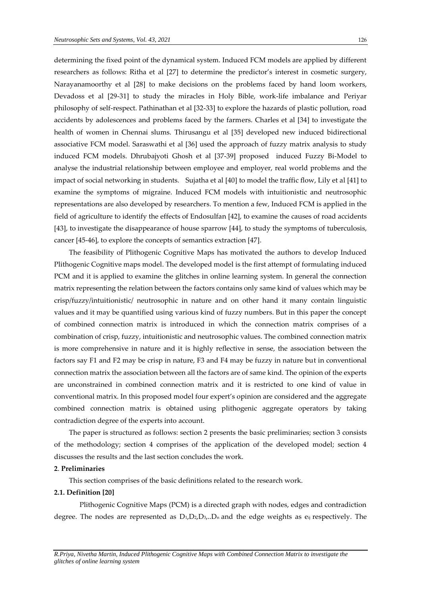determining the fixed point of the dynamical system. Induced FCM models are applied by different researchers as follows: Ritha et al [27] to determine the predictor's interest in cosmetic surgery, Narayanamoorthy et al [28] to make decisions on the problems faced by hand loom workers, Devadoss et al [29-31] to study the miracles in Holy Bible, work-life imbalance and Periyar philosophy of self-respect. Pathinathan et al [32-33] to explore the hazards of plastic pollution, road accidents by adolescences and problems faced by the farmers. Charles et al [34] to investigate the health of women in Chennai slums. Thirusangu et al [35] developed new induced bidirectional associative FCM model. Saraswathi et al [36] used the approach of fuzzy matrix analysis to study induced FCM models. Dhrubajyoti Ghosh et al [37-39] proposed induced Fuzzy Bi-Model to analyse the industrial relationship between employee and employer, real world problems and the impact of social networking in students. Sujatha et al [40] to model the traffic flow, Lily et al [41] to examine the symptoms of migraine. Induced FCM models with intuitionistic and neutrosophic representations are also developed by researchers. To mention a few, Induced FCM is applied in the field of agriculture to identify the effects of Endosulfan [42], to examine the causes of road accidents [43], to investigate the disappearance of house sparrow [44], to study the symptoms of tuberculosis, cancer [45-46], to explore the concepts of semantics extraction [47].

The feasibility of Plithogenic Cognitive Maps has motivated the authors to develop Induced Plithogenic Cognitive maps model. The developed model is the first attempt of formulating induced PCM and it is applied to examine the glitches in online learning system. In general the connection matrix representing the relation between the factors contains only same kind of values which may be crisp/fuzzy/intuitionistic/ neutrosophic in nature and on other hand it many contain linguistic values and it may be quantified using various kind of fuzzy numbers. But in this paper the concept of combined connection matrix is introduced in which the connection matrix comprises of a combination of crisp, fuzzy, intuitionistic and neutrosophic values. The combined connection matrix is more comprehensive in nature and it is highly reflective in sense, the association between the factors say F1 and F2 may be crisp in nature, F3 and F4 may be fuzzy in nature but in conventional connection matrix the association between all the factors are of same kind. The opinion of the experts are unconstrained in combined connection matrix and it is restricted to one kind of value in conventional matrix. In this proposed model four expert's opinion are considered and the aggregate combined connection matrix is obtained using plithogenic aggregate operators by taking contradiction degree of the experts into account.

The paper is structured as follows: section 2 presents the basic preliminaries; section 3 consists of the methodology; section 4 comprises of the application of the developed model; section 4 discusses the results and the last section concludes the work.

# **2**. **Preliminaries**

This section comprises of the basic definitions related to the research work.

#### **2.1. Definition [20]**

Plithogenic Cognitive Maps (PCM) is a directed graph with nodes, edges and contradiction degree. The nodes are represented as  $D_1, D_2, D_3, D_n$  and the edge weights as  $e_{ij}$  respectively. The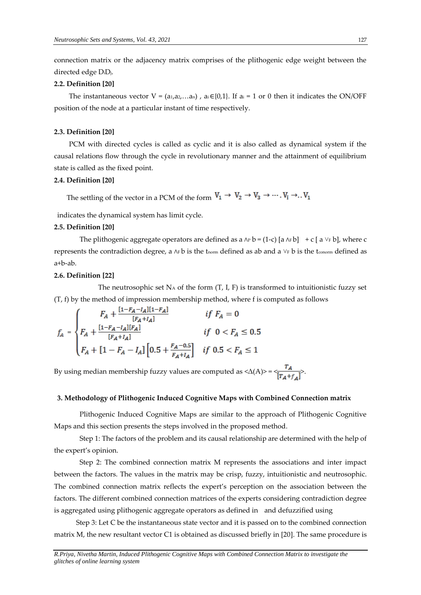connection matrix or the adjacency matrix comprises of the plithogenic edge weight between the directed edge DiDj.

#### **2.2. Definition [20]**

The instantaneous vector  $V = (a_{1}, a_{2}, \ldots, a_{n})$ ,  $a_{i} \in \{0,1\}$ . If  $a_{i} = 1$  or 0 then it indicates the ON/OFF position of the node at a particular instant of time respectively.

## **2.3. Definition [20]**

PCM with directed cycles is called as cyclic and it is also called as dynamical system if the causal relations flow through the cycle in revolutionary manner and the attainment of equilibrium state is called as the fixed point.

#### **2.4. Definition [20]**

The settling of the vector in a PCM of the form  $V_1 \rightarrow V_2 \rightarrow V_3 \rightarrow \cdots$  .  $V_i \rightarrow$ ..  $V_1$ 

indicates the dynamical system has limit cycle.

# **2.5. Definition [20]**

The plithogenic aggregate operators are defined as a  $\wedge$  b = (1-c) [a  $\wedge$  Fb] + c [a  $\vee$  Fb], where c represents the contradiction degree, a ∧F b is the tnorm defined as ab and a  $\vee$ F b is the tconorm defined as a+b-ab.

#### **2.6. Definition [22]**

The neutrosophic set  $N_A$  of the form  $(T, I, F)$  is transformed to intuitionistic fuzzy set (T, f) by the method of impression membership method, where f is computed as follows

$$
f_A = \begin{cases} F_A + \frac{[1 - F_A - I_A][1 - F_A]}{[F_A + I_A]} & \text{if } F_A = 0\\ F_A + \frac{[1 - F_A - I_A][F_A]}{[F_A + I_A]} & \text{if } 0 < F_A \le 0.5\\ F_A + [1 - F_A - I_A] \left[ 0.5 + \frac{F_A - 0.5}{F_A + I_A} \right] & \text{if } 0.5 < F_A \le 1 \end{cases}
$$

By using median membership fuzzy values are computed as  $\langle \Delta(A) \rangle = \frac{r_A}{[r_A + r_A]}$ .

#### **3. Methodology of Plithogenic Induced Cognitive Maps with Combined Connection matrix**

Plithogenic Induced Cognitive Maps are similar to the approach of Plithogenic Cognitive Maps and this section presents the steps involved in the proposed method.

Step 1: The factors of the problem and its causal relationship are determined with the help of the expert's opinion.

Step 2: The combined connection matrix M represents the associations and inter impact between the factors. The values in the matrix may be crisp, fuzzy, intuitionistic and neutrosophic. The combined connection matrix reflects the expert's perception on the association between the factors. The different combined connection matrices of the experts considering contradiction degree is aggregated using plithogenic aggregate operators as defined in and defuzzified using

 Step 3: Let C be the instantaneous state vector and it is passed on to the combined connection matrix M, the new resultant vector C1 is obtained as discussed briefly in [20]. The same procedure is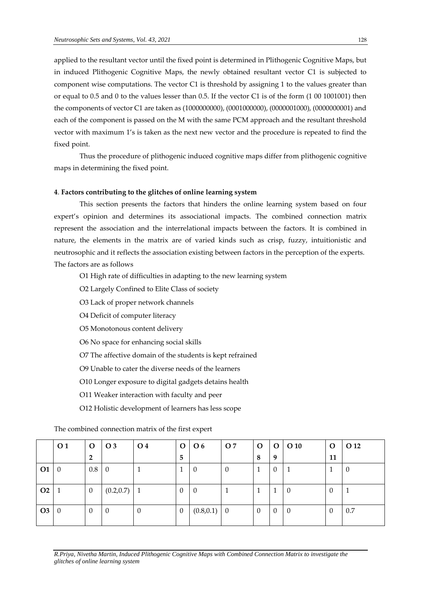applied to the resultant vector until the fixed point is determined in Plithogenic Cognitive Maps, but in induced Plithogenic Cognitive Maps, the newly obtained resultant vector C1 is subjected to component wise computations. The vector C1 is threshold by assigning 1 to the values greater than or equal to 0.5 and 0 to the values lesser than 0.5. If the vector C1 is of the form (1 00 1001001) then the components of vector C1 are taken as (1000000000), (0001000000), (0000001000), (0000000001) and each of the component is passed on the M with the same PCM approach and the resultant threshold vector with maximum 1's is taken as the next new vector and the procedure is repeated to find the fixed point.

Thus the procedure of plithogenic induced cognitive maps differ from plithogenic cognitive maps in determining the fixed point.

## **4**. **Factors contributing to the glitches of online learning system**

This section presents the factors that hinders the online learning system based on four expert's opinion and determines its associational impacts. The combined connection matrix represent the association and the interrelational impacts between the factors. It is combined in nature, the elements in the matrix are of varied kinds such as crisp, fuzzy, intuitionistic and neutrosophic and it reflects the association existing between factors in the perception of the experts. The factors are as follows

O1 High rate of difficulties in adapting to the new learning system

O2 Largely Confined to Elite Class of society

O3 Lack of proper network channels

O4 Deficit of computer literacy

O5 Monotonous content delivery

O6 No space for enhancing social skills

O7 The affective domain of the students is kept refrained

O9 Unable to cater the diverse needs of the learners

O10 Longer exposure to digital gadgets detains health

O11 Weaker interaction with faculty and peer

O12 Holistic development of learners has less scope

The combined connection matrix of the first expert

|                | $\overline{\textbf{O}}$ 1 | $\mathbf{O}$   | O 3            | $\overline{\textbf{O}}$ 4 |                  | $O$   $O$ 6    | O 7      | $\mathbf{O}$   |          | $O$ $O$ 10     | $\mathbf 0$ | O 12 |
|----------------|---------------------------|----------------|----------------|---------------------------|------------------|----------------|----------|----------------|----------|----------------|-------------|------|
|                |                           | $\overline{2}$ |                |                           | 5                |                |          | 8              | 9        |                | 11          |      |
| <b>O1</b>      | $\overline{0}$            | $0.8\,$        | $\overline{0}$ |                           | Ŧ.               | $\overline{0}$ | $\theta$ | 1              | $\theta$ | 1              |             | -0   |
|                |                           |                |                |                           |                  |                |          |                |          |                |             |      |
| O <sub>2</sub> |                           | $\overline{0}$ | (0.2, 0.7)     | $\vert 1 \vert$           | $\theta$         | $\overline{0}$ |          | 1              | 1        | $\overline{0}$ | 0           |      |
|                |                           |                |                |                           |                  |                |          |                |          |                |             |      |
| O <sub>3</sub> | 0                         | $\overline{0}$ | $\theta$       | $\theta$                  | $\boldsymbol{0}$ | $(0.8, 0.1)$ 0 |          | $\overline{0}$ | $\theta$ | l 0            | $\theta$    | 0.7  |
|                |                           |                |                |                           |                  |                |          |                |          |                |             |      |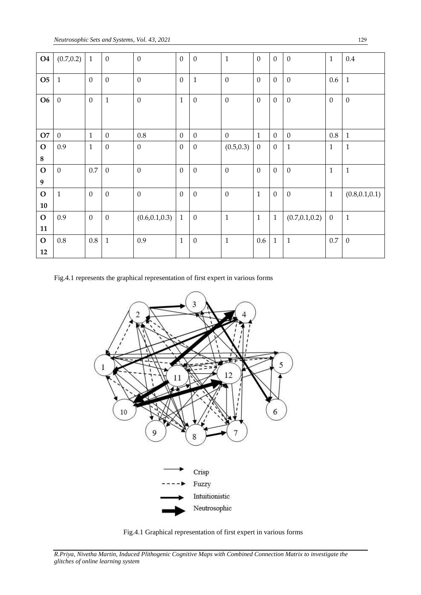| <b>O4</b>              | (0.7, 0.2)       | $\mathbf{1}$ | $\boldsymbol{0}$ | $\boldsymbol{0}$ | $\mathbf{0}$     | $\boldsymbol{0}$ | $\mathbf{1}$ | $\mathbf{0}$     | $\mathbf{0}$ | $\mathbf{0}$     | $\mathbf{1}$     | 0.4              |
|------------------------|------------------|--------------|------------------|------------------|------------------|------------------|--------------|------------------|--------------|------------------|------------------|------------------|
| <b>O5</b>              | $\mathbf{1}$     | $\mathbf{0}$ | $\boldsymbol{0}$ | $\boldsymbol{0}$ | $\mathbf{0}$     | $\mathbf{1}$     | $\mathbf{0}$ | $\mathbf{0}$     | $\mathbf{0}$ | $\mathbf{0}$     | 0.6              | $\mathbf{1}$     |
| <b>O6</b>              | $\boldsymbol{0}$ | $\mathbf{0}$ | $\mathbf{1}$     | $\boldsymbol{0}$ | $\mathbf{1}$     | $\boldsymbol{0}$ | $\mathbf{0}$ | $\mathbf{0}$     | $\mathbf{0}$ | $\boldsymbol{0}$ | $\mathbf{0}$     | $\boldsymbol{0}$ |
| O7                     | $\overline{0}$   | $\mathbf{1}$ | $\mathbf{0}$     | $0.8\,$          | $\mathbf{0}$     | $\mathbf{0}$     | $\mathbf{0}$ | $\mathbf{1}$     | $\mathbf{0}$ | $\mathbf{0}$     | $0.8\,$          | $\mathbf{1}$     |
| $\mathbf O$<br>$\bf 8$ | 0.9              | $\mathbf{1}$ | $\mathbf{0}$     | $\boldsymbol{0}$ | $\mathbf{0}$     | $\boldsymbol{0}$ | (0.5, 0.3)   | $\boldsymbol{0}$ | $\mathbf{0}$ | $\mathbf 1$      | $\mathbf{1}$     | $\mathbf{1}$     |
| $\mathbf O$<br>9       | $\mathbf{0}$     | 0.7          | $\theta$         | $\boldsymbol{0}$ | $\boldsymbol{0}$ | $\boldsymbol{0}$ | $\mathbf{0}$ | $\mathbf{0}$     | $\mathbf{0}$ | $\boldsymbol{0}$ | $\mathbf{1}$     | $\mathbf 1$      |
| $\mathbf{O}$<br>10     | $\mathbf{1}$     | $\mathbf{0}$ | $\boldsymbol{0}$ | $\boldsymbol{0}$ | $\boldsymbol{0}$ | $\boldsymbol{0}$ | $\mathbf{0}$ | $\mathbf{1}$     | $\mathbf{0}$ | $\boldsymbol{0}$ | $\mathbf{1}$     | (0.8, 0.1, 0.1)  |
| $\mathbf{O}$<br>11     | 0.9              | $\mathbf{0}$ | $\boldsymbol{0}$ | (0.6, 0.1, 0.3)  | $\mathbf{1}$     | $\boldsymbol{0}$ | $\mathbf{1}$ | $\mathbf{1}$     | $\mathbf{1}$ | (0.7, 0.1, 0.2)  | $\boldsymbol{0}$ | $\mathbf{1}$     |
| $\mathbf{O}$<br>12     | $0.8\,$          | 0.8          | $\mathbf{1}$     | 0.9              | $\mathbf{1}$     | $\boldsymbol{0}$ | $\mathbf{1}$ | 0.6              | $\mathbf{1}$ | $\mathbf{1}$     | 0.7              | $\boldsymbol{0}$ |

Fig.4.1 represents the graphical representation of first expert in various forms





*R.Priya, Nivetha Martin, Induced Plithogenic Cognitive Maps with Combined Connection Matrix to investigate the glitches of online learning system*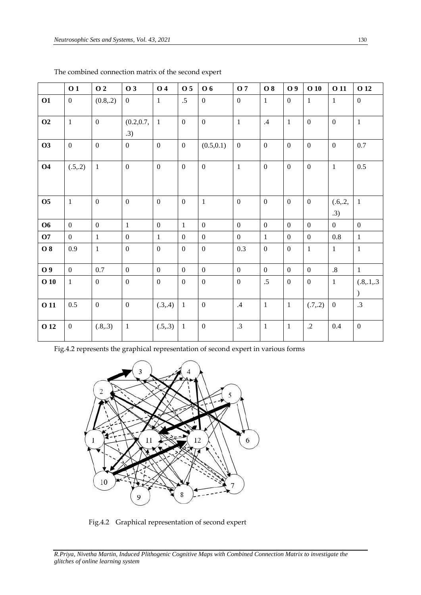|                | 01               | O 2            | <b>O3</b>         | <b>O</b> 4       | O 5              | O 6              | <b>O</b> 7      | <b>O8</b>      | O 9              | $O$ 10           | <b>O</b> 11      | O 12                          |
|----------------|------------------|----------------|-------------------|------------------|------------------|------------------|-----------------|----------------|------------------|------------------|------------------|-------------------------------|
| O1             | $\mathbf{0}$     | (0.8, 2)       | $\mathbf{0}$      | $\mathbf{1}$     | $.5\,$           | $\boldsymbol{0}$ | $\mathbf{0}$    | $\mathbf{1}$   | $\mathbf{0}$     | $\mathbf{1}$     | $\mathbf{1}$     | $\boldsymbol{0}$              |
| O <sub>2</sub> | $\mathbf{1}$     | $\overline{0}$ | (0.2, 0.7,<br>.3) | $\mathbf{1}$     | $\overline{0}$   | $\overline{0}$   | $\mathbf{1}$    | .4             | $\mathbf{1}$     | $\mathbf{0}$     | $\boldsymbol{0}$ | $\mathbf{1}$                  |
| <b>O3</b>      | $\mathbf{0}$     | $\overline{0}$ | $\mathbf{0}$      | $\boldsymbol{0}$ | $\boldsymbol{0}$ | (0.5, 0.1)       | $\mathbf{0}$    | $\mathbf{0}$   | $\mathbf{0}$     | $\boldsymbol{0}$ | $\boldsymbol{0}$ | 0.7                           |
| <b>O4</b>      | (.5,.2)          | $\mathbf{1}$   | $\overline{0}$    | $\boldsymbol{0}$ | $\mathbf{0}$     | $\overline{0}$   | $\mathbf{1}$    | $\overline{0}$ | $\mathbf{0}$     | $\mathbf{0}$     | $\mathbf{1}$     | 0.5                           |
| <b>O5</b>      | $\mathbf{1}$     | $\overline{0}$ | $\mathbf{0}$      | $\mathbf{0}$     | $\mathbf{0}$     | $\mathbf{1}$     | $\overline{0}$  | $\mathbf{0}$   | $\boldsymbol{0}$ | $\mathbf{0}$     | (.6,.2,<br>.3)   | $\mathbf{1}$                  |
| <b>O6</b>      | $\mathbf{0}$     | $\mathbf{0}$   | $\mathbf{1}$      | $\boldsymbol{0}$ | $\mathbf{1}$     | $\mathbf{0}$     | $\mathbf{0}$    | $\mathbf{0}$   | $\mathbf{0}$     | $\mathbf{0}$     | $\mathbf{0}$     | $\overline{0}$                |
| <b>O7</b>      | $\overline{0}$   | $\mathbf{1}$   | $\mathbf{0}$      | $\mathbf{1}$     | $\mathbf{0}$     | $\mathbf{0}$     | $\mathbf{0}$    | $\mathbf{1}$   | $\mathbf{0}$     | $\mathbf{0}$     | 0.8              | $\mathbf{1}$                  |
| <b>O</b> 8     | 0.9              | $\mathbf{1}$   | $\overline{0}$    | $\boldsymbol{0}$ | $\overline{0}$   | $\overline{0}$   | 0.3             | $\overline{0}$ | $\mathbf{0}$     | $\mathbf{1}$     | $\mathbf{1}$     | $\mathbf{1}$                  |
| O 9            | $\overline{0}$   | 0.7            | $\overline{0}$    | $\overline{0}$   | $\overline{0}$   | $\overline{0}$   | $\overline{0}$  | $\overline{0}$ | $\boldsymbol{0}$ | $\mathbf{0}$     | $.8\,$           | $\mathbf{1}$                  |
| 010            | $\mathbf{1}$     | $\overline{0}$ | $\mathbf{0}$      | $\mathbf{0}$     | $\boldsymbol{0}$ | $\boldsymbol{0}$ | $\mathbf{0}$    | $.5\,$         | $\boldsymbol{0}$ | $\boldsymbol{0}$ | $\mathbf{1}$     | (.8, .1, .3)<br>$\mathcal{L}$ |
| <b>011</b>     | 0.5              | $\mathbf{0}$   | $\mathbf{0}$      | (.3, .4)         | $\mathbf{1}$     | $\mathbf{0}$     | .4              | $\mathbf{1}$   | $\mathbf{1}$     | (.7, .2)         | $\mathbf{0}$     | .3                            |
| O 12           | $\boldsymbol{0}$ | (.8, .3)       | $\mathbf{1}$      | (.5,.3)          | $\mathbf{1}$     | $\boldsymbol{0}$ | $.3\phantom{0}$ | $\mathbf 1$    | $\mathbf{1}$     | $\cdot$ .2       | 0.4              | $\boldsymbol{0}$              |

The combined connection matrix of the second expert

Fig.4.2 represents the graphical representation of second expert in various forms



Fig.4.2 Graphical representation of second expert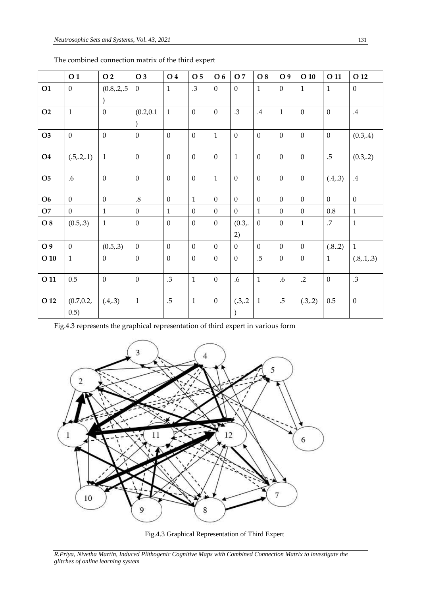|                | O <sub>1</sub>     | O 2             | O 3            | O 4              | O <sub>5</sub>   | O 6              | O 7            | O 8          | O 9            | $O$ 10           | O 11           | O 12             |
|----------------|--------------------|-----------------|----------------|------------------|------------------|------------------|----------------|--------------|----------------|------------------|----------------|------------------|
| <b>O1</b>      | $\mathbf{0}$       | (0.8, 0.2, 0.5) | $\mathbf{0}$   | $\mathbf{1}$     | .3               | $\mathbf{0}$     | $\overline{0}$ | $\mathbf{1}$ | $\overline{0}$ | $\mathbf{1}$     | $\mathbf{1}$   | $\overline{0}$   |
|                |                    |                 |                |                  |                  |                  |                |              |                |                  |                |                  |
| O <sub>2</sub> | $\mathbf{1}$       | $\mathbf{0}$    | (0.2, 0.1)     | $\mathbf{1}$     | $\mathbf{0}$     | $\mathbf{0}$     | .3             | $.4\,$       | $\mathbf{1}$   | $\mathbf{0}$     | $\mathbf{0}$   | $.4\,$           |
|                |                    |                 |                |                  |                  |                  |                |              |                |                  |                |                  |
| O <sub>3</sub> | $\mathbf{0}$       | $\mathbf{0}$    | $\overline{0}$ | $\overline{0}$   | $\mathbf{0}$     | $\mathbf{1}$     | $\mathbf{0}$   | $\mathbf{0}$ | $\mathbf{0}$   | $\mathbf{0}$     | $\mathbf{0}$   | (0.3, .4)        |
| <b>O4</b>      | (.5,.2,.1)         | $\mathbf{1}$    | $\overline{0}$ | $\mathbf{0}$     | $\mathbf{0}$     | $\overline{0}$   | $\mathbf{1}$   | $\mathbf{0}$ | $\overline{0}$ | $\mathbf{0}$     | $.5\,$         | (0.3, .2)        |
| <b>O5</b>      | .6                 | $\overline{0}$  | $\overline{0}$ | $\mathbf{0}$     | $\mathbf{0}$     | $\mathbf{1}$     | $\overline{0}$ | $\mathbf{0}$ | $\overline{0}$ | $\mathbf{0}$     | (.4, .3)       | $.4\,$           |
| <b>O6</b>      | $\mathbf{0}$       | $\overline{0}$  | $.8\,$         | $\mathbf{0}$     | $\mathbf{1}$     | $\overline{0}$   | $\overline{0}$ | $\theta$     | $\overline{0}$ | $\mathbf{0}$     | $\overline{0}$ | $\overline{0}$   |
| O7             | $\mathbf{0}$       | $\mathbf{1}$    | $\mathbf{0}$   | $\mathbf{1}$     | $\boldsymbol{0}$ | $\overline{0}$   | $\mathbf{0}$   | $\mathbf{1}$ | $\mathbf{0}$   | $\boldsymbol{0}$ | $0.8\,$        | $\mathbf{1}$     |
| O 8            | (0.5, .3)          | $\mathbf{1}$    | $\mathbf{0}$   | $\mathbf{0}$     | $\boldsymbol{0}$ | $\mathbf{0}$     | (0.3,          | $\theta$     | $\mathbf{0}$   | $\mathbf{1}$     | .7             | $\mathbf{1}$     |
|                |                    |                 |                |                  |                  |                  | 2)             |              |                |                  |                |                  |
| O 9            | $\mathbf{0}$       | (0.5, .3)       | $\mathbf{0}$   | $\mathbf{0}$     | $\mathbf{0}$     | $\mathbf{0}$     | $\mathbf{0}$   | $\mathbf{0}$ | $\mathbf{0}$   | $\mathbf{0}$     | (.82)          | $\mathbf{1}$     |
| $O$ 10         | $\mathbf{1}$       | $\overline{0}$  | $\overline{0}$ | $\boldsymbol{0}$ | $\mathbf{0}$     | $\mathbf{0}$     | $\overline{0}$ | $.5\,$       | $\mathbf{0}$   | $\mathbf{0}$     | $\mathbf{1}$   | (.8, .1, .3)     |
| O 11           | 0.5                | $\mathbf{0}$    | $\mathbf{0}$   | .3               | $\mathbf{1}$     | $\boldsymbol{0}$ | .6             | $\mathbf{1}$ | .6             | $\cdot$ .2       | $\theta$       | .3               |
| O 12           | (0.7, 0.2,<br>0.5) | (.4, .3)        | $\mathbf{1}$   | $.5\,$           | $\mathbf{1}$     | $\boldsymbol{0}$ | (.3,.2)        | $\mathbf{1}$ | $.5\,$         | (.3, .2)         | 0.5            | $\boldsymbol{0}$ |

The combined connection matrix of the third expert

Fig.4.3 represents the graphical representation of third expert in various form



Fig.4.3 Graphical Representation of Third Expert

*R.Priya, Nivetha Martin, Induced Plithogenic Cognitive Maps with Combined Connection Matrix to investigate the glitches of online learning system*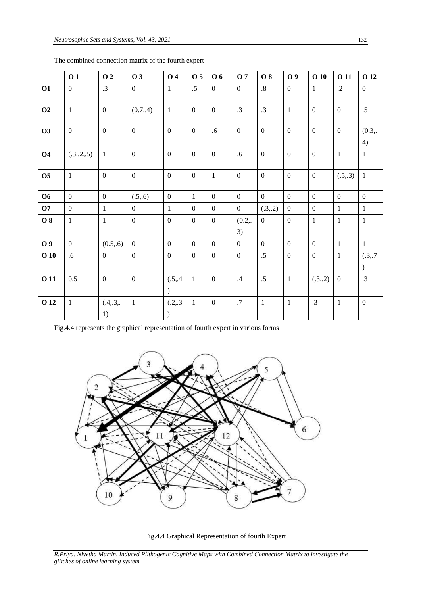|             | 01             | 02              | 03             | <b>O4</b>                 | O <sub>5</sub>   | <b>O6</b>        | <b>O</b> 7     | <b>O8</b>       | O 9              | $O$ 10           | O 11             | O 12                 |
|-------------|----------------|-----------------|----------------|---------------------------|------------------|------------------|----------------|-----------------|------------------|------------------|------------------|----------------------|
| <b>O1</b>   | $\mathbf{0}$   | .3              | $\mathbf{0}$   | $\mathbf{1}$              | $.5\,$           | $\mathbf{0}$     | $\overline{0}$ | $\cdot$ 8       | $\mathbf{0}$     | 1                | $\cdot$ .2       | $\mathbf{0}$         |
| O2          | $\mathbf{1}$   | $\mathbf{0}$    | (0.7, .4)      | $\mathbf{1}$              | $\overline{0}$   | $\mathbf{0}$     | $\cdot$ 3      | $.3\phantom{0}$ | $\mathbf{1}$     | $\mathbf{0}$     | $\boldsymbol{0}$ | .5                   |
| <b>O3</b>   | $\mathbf{0}$   | $\mathbf{0}$    | $\mathbf{0}$   | $\overline{0}$            | $\mathbf{0}$     | .6               | $\overline{0}$ | $\mathbf{0}$    | $\mathbf{0}$     | $\mathbf{0}$     | $\boldsymbol{0}$ | (0.3,<br>4)          |
| <b>O4</b>   | (.3, .2, .5)   | $\mathbf{1}$    | $\overline{0}$ | $\mathbf{0}$              | $\mathbf{0}$     | $\boldsymbol{0}$ | .6             | $\overline{0}$  | $\mathbf{0}$     | $\mathbf{0}$     | $\mathbf{1}$     | $\mathbf{1}$         |
| <b>O5</b>   | $\mathbf{1}$   | $\mathbf{0}$    | $\mathbf{0}$   | $\boldsymbol{0}$          | $\overline{0}$   | $\mathbf{1}$     | $\mathbf{0}$   | $\overline{0}$  | $\mathbf{0}$     | $\boldsymbol{0}$ | (.5,.3)          | $\mathbf{1}$         |
| <b>O6</b>   | $\mathbf{0}$   | $\mathbf{0}$    | (.5, .6)       | $\mathbf{0}$              | $\mathbf{1}$     | $\overline{0}$   | $\overline{0}$ | $\mathbf{0}$    | $\overline{0}$   | $\overline{0}$   | $\overline{0}$   | $\overline{0}$       |
| <b>O7</b>   | $\mathbf{0}$   | $\mathbf{1}$    | $\mathbf{0}$   | $\mathbf{1}$              | $\boldsymbol{0}$ | $\boldsymbol{0}$ | $\overline{0}$ | (.3, .2)        | $\boldsymbol{0}$ | $\mathbf{0}$     | $\mathbf{1}$     | $\mathbf{1}$         |
| 08          | $\mathbf{1}$   | $\mathbf{1}$    | $\mathbf{0}$   | $\mathbf{0}$              | $\mathbf{0}$     | $\boldsymbol{0}$ | (0.2,<br>3)    | $\overline{0}$  | $\boldsymbol{0}$ | $\mathbf{1}$     | $\mathbf{1}$     | $\mathbf{1}$         |
| O 9         | $\overline{0}$ | (0.5, 6)        | $\Omega$       | $\mathbf{0}$              | $\mathbf{0}$     | $\overline{0}$   | $\overline{0}$ | $\overline{0}$  | $\boldsymbol{0}$ | $\overline{0}$   | $\mathbf{1}$     | $\mathbf{1}$         |
| $O$ 10      | .6             | $\mathbf{0}$    | $\mathbf{0}$   | $\overline{0}$            | $\boldsymbol{0}$ | $\boldsymbol{0}$ | $\overline{0}$ | .5              | $\boldsymbol{0}$ | $\boldsymbol{0}$ | $\mathbf{1}$     | (.3,.7)<br>$\lambda$ |
| <b>O</b> 11 | 0.5            | $\mathbf{0}$    | $\mathbf{0}$   | (.5, .4)<br>$\mathcal{L}$ | $\mathbf{1}$     | $\boldsymbol{0}$ | .4             | .5              | $\mathbf{1}$     | (.3, .2)         | $\boldsymbol{0}$ | .3                   |
| O 12        | $\mathbf{1}$   | (.4,.3,.)<br>1) | $\mathbf{1}$   | (.2,.3)                   | $\mathbf{1}$     | $\boldsymbol{0}$ | $.7\,$         | $\overline{1}$  | $\mathbf{1}$     | $\cdot$ 3        | $\mathbf{1}$     | $\boldsymbol{0}$     |

The combined connection matrix of the fourth expert

Fig.4.4 represents the graphical representation of fourth expert in various forms



Fig.4.4 Graphical Representation of fourth Expert

*R.Priya, Nivetha Martin, Induced Plithogenic Cognitive Maps with Combined Connection Matrix to investigate the glitches of online learning system*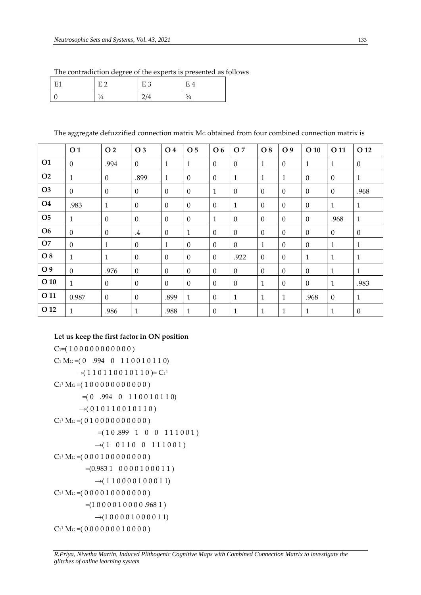|    | The contradiction degree of the experts is presented as follows |       |    |  |
|----|-----------------------------------------------------------------|-------|----|--|
| E1 | – F ∩                                                           | 1 E 3 | FД |  |

| T11<br>н | F. | F <sup>2</sup> | E            |
|----------|----|----------------|--------------|
|          |    |                | $\mathbf{a}$ |

The aggregate defuzzified connection matrix MG obtained from four combined connection matrix is

|                | O <sub>1</sub> | O 2          | O 3             | O 4          | O 5          | O 6          | O 7          | O 8          | O 9          | $O$ 10       | O 11         | O 12         |
|----------------|----------------|--------------|-----------------|--------------|--------------|--------------|--------------|--------------|--------------|--------------|--------------|--------------|
| <b>O1</b>      | $\Omega$       | .994         | $\Omega$        | $\mathbf{1}$ | $\mathbf{1}$ | $\Omega$     | $\Omega$     | $\mathbf{1}$ | $\mathbf{0}$ | $\mathbf{1}$ | $\mathbf{1}$ | $\theta$     |
| O <sub>2</sub> | $\mathbf{1}$   | $\mathbf{0}$ | .899            | $\mathbf{1}$ | $\Omega$     | $\Omega$     | $\mathbf{1}$ | $\mathbf{1}$ | $\mathbf{1}$ | $\mathbf{0}$ | $\mathbf{0}$ | $\mathbf{1}$ |
| O <sub>3</sub> | $\mathbf{0}$   | $\mathbf{0}$ | $\Omega$        | $\Omega$     | $\Omega$     | $\mathbf{1}$ | $\Omega$     | $\Omega$     | $\Omega$     | $\Omega$     | $\mathbf{0}$ | .968         |
| O <sub>4</sub> | .983           | $\mathbf{1}$ | $\Omega$        | $\Omega$     | $\Omega$     | $\Omega$     | 1            | $\Omega$     | $\Omega$     | $\Omega$     | $\mathbf{1}$ | $\mathbf{1}$ |
| O <sub>5</sub> | 1              | $\mathbf{0}$ | $\Omega$        | $\Omega$     | $\Omega$     | $\mathbf{1}$ | $\Omega$     | $\Omega$     | $\Omega$     | $\Omega$     | .968         | $\mathbf{1}$ |
| <b>O6</b>      | $\Omega$       | $\mathbf{0}$ | $.4\phantom{0}$ | $\mathbf{0}$ | $\mathbf{1}$ | $\Omega$     | $\Omega$     | $\Omega$     | $\Omega$     | $\mathbf{0}$ | $\Omega$     | $\theta$     |
| O7             | $\theta$       | 1            | $\mathbf{0}$    | $\mathbf{1}$ | $\mathbf{0}$ | $\Omega$     | $\theta$     | $\mathbf{1}$ | $\mathbf{0}$ | $\mathbf{0}$ | $\mathbf{1}$ | $\mathbf{1}$ |
| O 8            | 1              | $\mathbf{1}$ | $\mathbf{0}$    | $\theta$     | $\Omega$     | $\Omega$     | .922         | $\theta$     | $\mathbf{0}$ | $\mathbf{1}$ | $\mathbf{1}$ | $\mathbf{1}$ |
| O 9            | $\mathbf{0}$   | .976         | $\mathbf{0}$    | $\Omega$     | $\mathbf{0}$ | $\Omega$     | $\Omega$     | $\Omega$     | $\mathbf{0}$ | $\mathbf{0}$ | $\mathbf{1}$ | $\mathbf{1}$ |
| $O$ 10         | 1              | $\mathbf{0}$ | $\Omega$        | $\Omega$     | $\Omega$     | $\Omega$     | $\Omega$     | $\mathbf{1}$ | $\mathbf{0}$ | $\theta$     | $\mathbf{1}$ | .983         |
| O 11           | 0.987          | $\Omega$     | $\Omega$        | .899         | $\mathbf{1}$ | $\Omega$     | 1            | $\mathbf{1}$ | $\mathbf{1}$ | .968         | $\Omega$     | $\mathbf{1}$ |
| O 12           | 1              | .986         | 1               | .988         | $\mathbf{1}$ | $\theta$     | 1            | $\mathbf{1}$ | $\mathbf{1}$ | $\mathbf{1}$ | $\mathbf{1}$ | $\mathbf{0}$ |

# **Let us keep the first factor in ON position**

```
C_1=(100000000000)C_1 M<sub>G</sub> = (0 .994 0 1 1 0 0 1 0 1 1 0)
         \rightarrow(110110010110)=C<sup>1</sup>
C_1<sup>1</sup> M<sub>G</sub> = (10000000000)
           =(0.994 \ 0.110010110)\rightarrow (010110010110)C_1<sup>1</sup> M<sub>G</sub> = (010000000000)
                 =(10.899 \quad 1 \quad 0 \quad 0 \quad 111001)\rightarrow(1 0110 0 111001)
C_1<sup>1</sup> M<sub>G</sub> = (00001000000)
            =(0.9831 \quad 0 \quad 0 \quad 0 \quad 1 \quad 0 \quad 0 \quad 1 \quad 1)\rightarrow(110000100011)
C_1<sup>1</sup> M<sub>G</sub> = (000001000000)
            =(10000100000.9681)\rightarrow(1000001000011)
C_1<sup>1</sup> M<sub>G</sub> = (0000000010000)
```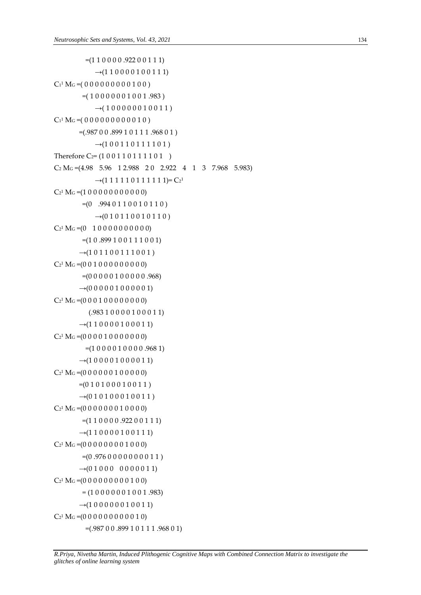```
=(1 1 0 0 0 0.922 0 0 1 1 1)\rightarrow(110000100111)
C_1<sup>1</sup> M<sub>G</sub> = (0000000000100)
           =(10000001001.983)\rightarrow(100000010011)
C_1<sup>1</sup> M<sub>G</sub> = (0000000000010)
          =(.98700.89910111.96801)\rightarrow(100110111101)
Therefore C<sub>2</sub>= (1 0 0 1 1 0 1 1 1 1 0 1 )
C_2 M<sub>G</sub> =(4.98 5.96 1 2.988 2 0 2.922 4 1 3 7.968 5.983)
                 \rightarrow(1 1 1 1 1 0 1 1 1 1 1 1)= C<sub>2</sub><sup>1</sup>
C_2<sup>1</sup> M<sub>G</sub> = (1 0 0 0 0 0 0 0 0 0 0 0)
           =(0.9940110010110)\rightarrow(010110010110)
C_2<sup>1</sup> M<sub>G</sub> = (0 1 0 0 0 0 0 0 0 0 0 0)
           =(1 0.899 1 0 0 1 1 1 0 0 1)\rightarrow(101100111001)
C_2<sup>1</sup> M<sub>G</sub> = (0 0 1 0 0 0 0 0 0 0 0 0)
           =(0 0 0 0 0 1 0 0 0 0 0.968)\rightarrow(000001000001)
C_2<sup>1</sup> M<sub>G</sub> = (0 0 0 1 0 0 0 0 0 0 0 0)
               (.983 1 0 0 0 0 1 0 0 0 1 1) 
          \rightarrow(110000100011)
C_2<sup>1</sup> M<sub>G</sub> = (0 0 0 0 1 0 0 0 0 0 0 0)
             =(1 0 0 0 0 1 0 0 0 0 0.968 1)\rightarrow(100001000011)
C_2<sup>1</sup> M<sub>G</sub> = (0 0 0 0 0 0 1 0 0 0 0 0)
          =(0 1 0 1 0 0 0 1 0 0 1 1)\rightarrow(010100010011)
C_2<sup>1</sup> M<sub>G</sub> = (0 0 0 0 0 0 0 1 0 0 0 0)
           =(1 1 0 0 0 0.922 0 0 1 1 1)\rightarrow(110000100111)
C_2<sup>1</sup> M<sub>G</sub> = (0 0 0 0 0 0 0 0 1 0 0 0)
           =(0.9760000000011)\rightarrow (0 1 0 0 0 0 0 0 0 0 1 1)
C_2<sup>1</sup> M<sub>G</sub> = (0 0 0 0 0 0 0 0 0 1 0 0)
           = (1 0 0 0 0 0 0 1 0 0 1 .983)\rightarrow(100000010011)
C_2<sup>1</sup> M<sub>G</sub> = (0 0 0 0 0 0 0 0 0 0 1 0)
             =(.98700.89910111.96801)
```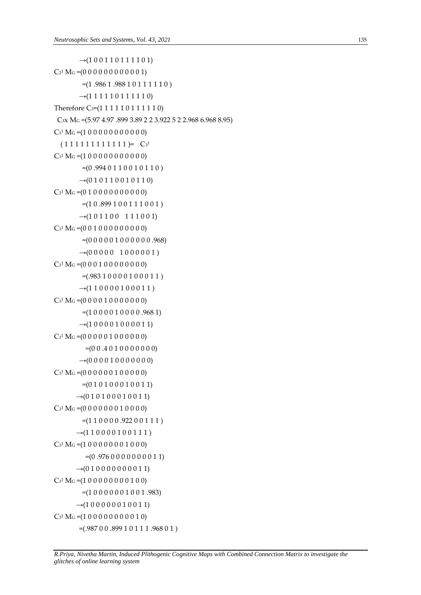```
\rightarrow(100110111101)
C_2<sup>1</sup> M<sub>G</sub> = (0 0 0 0 0 0 0 0 0 0 0 1)
            =(1.9861.98810111110)\rightarrow(111110111110)
Therefore C<sub>3</sub>=(1 1 1 1 1 0 1 1 1 1 1 0)
 C3x MG =(5.97 4.97 .899 3.89 2 2 3.922 5 2 2.968 6.968 8.95) 
C_3<sup>1</sup> M<sub>G</sub> = (1 0 0 0 0 0 0 0 0 0 0 0)
  (1 1 1 1 1 1 1 1 1 1 1 1) = C<sub>3</sub><sup>1</sup>C<sub>3</sub><sup>1</sup> M<sub>G</sub> = (1 0 0 0 0 0 0 0 0 0 0 0)
            =(0.9940110010110)\rightarrow(0 1 0 1 1 0 0 1 0 1 1 0)
C_3<sup>1</sup> M<sub>G</sub> = (0 1 0 0 0 0 0 0 0 0 0 0)
            =(10.899100111001)\rightarrow(101100 111001)
C<sub>3</sub><sup>1</sup> M<sub>G</sub> = (0 0 1 0 0 0 0 0 0 0 0 0)
            =(0 0 0 0 0 1 0 0 0 0 0 0.968)\rightarrow(0000001)
C<sub>3</sub><sup>1</sup> M<sub>G</sub> = (0 0 0 1 0 0 0 0 0 0 0 0)
            =(.98310000100011)\rightarrow(110000100011)
C_3<sup>1</sup> M<sub>G</sub> = (0 0 0 0 1 0 0 0 0 0 0 0)
            =(1 0 0 0 0 1 0 0 0 0.9681)\rightarrow(100001000011)
C<sub>3</sub><sup>1</sup> M<sub>G</sub> = (0 0 0 0 0 1 0 0 0 0 0 0)
              =(0 0.4 0 1 0 0 0 0 0 0)\rightarrow(000001000000)
C_3<sup>1</sup> M<sub>G</sub> = (0 0 0 0 0 0 1 0 0 0 0 0)
            =(0 1 0 1 0 0 0 1 0 0 1 1)\rightarrow(0 1 0 1 0 0 0 1 0 0 1 1)
C<sub>3</sub><sup>1</sup> M<sub>G</sub> =(0 0 0 0 0 0 0 1 0 0 0 0)
            =(1 1 0 0 0 0.922 0 0 1 1 1)\rightarrow(110000100111)
C<sub>3</sub><sup>1</sup> M<sub>G</sub> =(1 0 0 0 0 0 0 0 1 0 0 0)
              =(0.9760000000011)\rightarrow(0 1 0 0 0 0 0 0 0 0 1 1)
C<sub>3</sub><sup>1</sup> M<sub>G</sub> =(1 0 0 0 0 0 0 0 0 1 0 0)
            =(10000001001.983)\rightarrow(100000010011)
C<sub>3</sub><sup>1</sup> M<sub>G</sub> =(1 0 0 0 0 0 0 0 0 0 1 0)
           =(.98700.89910111.96801)
```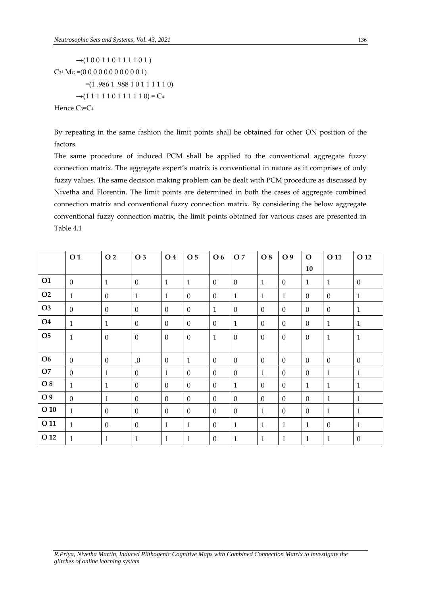$\rightarrow$ (100110111101)  $C_3$ <sup>1</sup> M<sub>G</sub> = (0 0 0 0 0 0 0 0 0 0 0 1)  $=(1.9861.98810111110)$  $\rightarrow$ (111110111110) = C<sub>4</sub> Hence C<sub>3</sub>=C<sub>4</sub>

By repeating in the same fashion the limit points shall be obtained for other ON position of the factors.

The same procedure of induced PCM shall be applied to the conventional aggregate fuzzy connection matrix. The aggregate expert's matrix is conventional in nature as it comprises of only fuzzy values. The same decision making problem can be dealt with PCM procedure as discussed by Nivetha and Florentin. The limit points are determined in both the cases of aggregate combined connection matrix and conventional fuzzy connection matrix. By considering the below aggregate conventional fuzzy connection matrix, the limit points obtained for various cases are presented in Table 4.1

|                | O <sub>1</sub> | O 2            | O 3              | O 4            | O 5            | O 6          | O 7          | O 8            | O 9          | $\mathbf{O}$ | O 11         | O 12         |
|----------------|----------------|----------------|------------------|----------------|----------------|--------------|--------------|----------------|--------------|--------------|--------------|--------------|
|                |                |                |                  |                |                |              |              |                |              | 10           |              |              |
| <b>O1</b>      | $\mathbf{0}$   | $\mathbf{1}$   | $\mathbf{0}$     | $\mathbf{1}$   | $\mathbf{1}$   | $\Omega$     | $\Omega$     | $\mathbf{1}$   | $\mathbf{0}$ | $\mathbf{1}$ | $\mathbf{1}$ | $\mathbf{0}$ |
| O2             | $\mathbf{1}$   | $\overline{0}$ | $\mathbf{1}$     | $\mathbf{1}$   | $\overline{0}$ | $\mathbf{0}$ | $\mathbf{1}$ | $\mathbf{1}$   | $\mathbf{1}$ | $\mathbf{0}$ | $\theta$     | $\mathbf{1}$ |
| O <sub>3</sub> | $\mathbf{0}$   | $\overline{0}$ | $\boldsymbol{0}$ | $\overline{0}$ | $\mathbf{0}$   | $\mathbf{1}$ | $\Omega$     | $\theta$       | $\theta$     | $\mathbf{0}$ | $\mathbf{0}$ | $\mathbf{1}$ |
| <b>O4</b>      | $\mathbf{1}$   | $\mathbf{1}$   | $\Omega$         | $\Omega$       | $\theta$       | $\Omega$     | $\mathbf{1}$ | $\theta$       | $\Omega$     | $\Omega$     | $\mathbf{1}$ | $\mathbf{1}$ |
| <b>O5</b>      | $\mathbf 1$    | $\overline{0}$ | $\boldsymbol{0}$ | $\overline{0}$ | $\overline{0}$ | $\mathbf{1}$ | $\theta$     | $\theta$       | $\theta$     | $\theta$     | $\mathbf{1}$ | $1\,$        |
|                |                |                |                  |                |                |              |              |                |              |              |              |              |
| O <sub>6</sub> | $\overline{0}$ | $\overline{0}$ | .0               | $\mathbf{0}$   | $\mathbf{1}$   | $\mathbf{0}$ | $\mathbf{0}$ | $\theta$       | $\mathbf{0}$ | $\mathbf{0}$ | $\mathbf{0}$ | $\mathbf{0}$ |
| O7             | $\mathbf{0}$   | $\mathbf{1}$   | $\overline{0}$   | $\mathbf{1}$   | $\overline{0}$ | $\mathbf{0}$ | $\mathbf{0}$ | 1              | $\theta$     | $\mathbf{0}$ | $\mathbf{1}$ | $\mathbf{1}$ |
| O 8            | $\mathbf{1}$   | $\mathbf{1}$   | $\mathbf{0}$     | $\theta$       | $\overline{0}$ | $\mathbf{0}$ | $\mathbf{1}$ | $\theta$       | $\theta$     | $\mathbf{1}$ | $\mathbf{1}$ | $\mathbf{1}$ |
| O 9            | $\overline{0}$ | $\mathbf{1}$   | $\mathbf{0}$     | $\overline{0}$ | $\overline{0}$ | $\mathbf{0}$ | $\mathbf{0}$ | $\overline{0}$ | $\theta$     | $\mathbf{0}$ | $\mathbf{1}$ | $\mathbf{1}$ |
| $O$ 10         | $\mathbf{1}$   | $\overline{0}$ | $\mathbf{0}$     | $\overline{0}$ | $\overline{0}$ | $\mathbf{0}$ | $\theta$     | $\mathbf{1}$   | $\theta$     | $\mathbf{0}$ | $\mathbf{1}$ | $\mathbf{1}$ |
| O 11           | $\mathbf{1}$   | $\overline{0}$ | $\mathbf{0}$     | $\mathbf{1}$   | $\mathbf{1}$   | $\mathbf{0}$ | $\mathbf{1}$ | $\mathbf{1}$   | $\mathbf{1}$ | $\mathbf{1}$ | $\mathbf{0}$ | $\mathbf{1}$ |
| O 12           | $\mathbf{1}$   | $\mathbf{1}$   | $\mathbf{1}$     | $\mathbf{1}$   | $\mathbf{1}$   | $\Omega$     | $\mathbf{1}$ | $\mathbf{1}$   | $\mathbf{1}$ | $\mathbf{1}$ | $\mathbf{1}$ | $\mathbf{0}$ |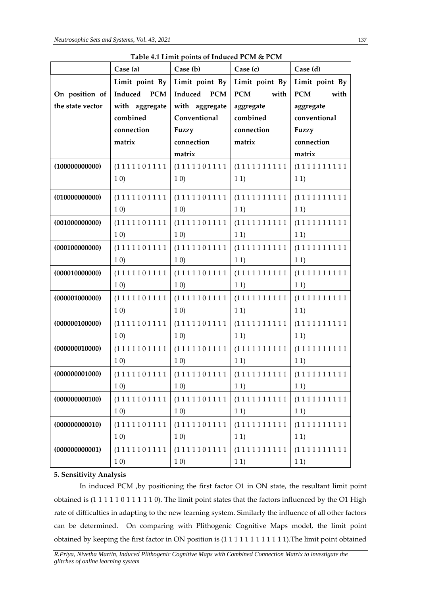|                  |                | Table 4.1 Linne points of mudeeu I CM & I CM<br>Case (a) $\big $ Case (b) $\big $ Case (c) |             | $\bigcap$ Case (d)          |
|------------------|----------------|--------------------------------------------------------------------------------------------|-------------|-----------------------------|
|                  |                | Limit point By   Limit point By   Limit point By   Limit point By                          |             |                             |
| On position of   | Induced PCM    | Induced PCM                                                                                | PCM with    | PCM with                    |
| the state vector | with aggregate | with aggregate                                                                             | aggregate   | aggregate                   |
|                  | combined       | Conventional                                                                               | combined    | conventional                |
|                  | connection     | Fuzzy                                                                                      | connection  | Fuzzy                       |
|                  | matrix         | connection                                                                                 | matrix      | connection                  |
|                  |                | matrix                                                                                     |             | matrix                      |
| (100000000000)   |                |                                                                                            |             |                             |
|                  | 1 <sub>0</sub> | 1 <sub>0</sub>                                                                             | 11)         | 11)                         |
|                  |                |                                                                                            |             |                             |
| (010000000000)   |                | (1111101111   (1111101111                                                                  |             |                             |
|                  | 1 <sub>0</sub> | 1 0)                                                                                       | 1 1)        | 11)                         |
| (001000000000)   |                | (1111101111   (1111101111                                                                  |             |                             |
|                  | 1 0)           | 1 0)                                                                                       | 1 1)        | 1 1)                        |
| (000100000000)   | (1111101111    | (1111101111                                                                                |             | (1111111111   (111111111111 |
|                  | 1 0)           | 1 0)                                                                                       | 1 1)        | 1 1)                        |
| (000010000000)   | (1111101111    | (1111101111                                                                                |             | (1111111111   (111111111111 |
|                  | 1 0)           | 1 0)                                                                                       | 1 1)        | 1 1)                        |
| (000001000000)   | (1111101111    | (1111101111                                                                                |             |                             |
|                  | 1 0)           | 1 0)                                                                                       | 1 1)        | 1 1)                        |
| (000000100000)   | (1111101111    | (1111101111                                                                                |             |                             |
|                  | 10)            | 10)                                                                                        | 1 1)        | 1 1)                        |
| (000000010000)   |                | (1111101111   (1111101111                                                                  |             | (1111111111   (111111111111 |
|                  | 10)            | $\begin{array}{ c c c } \hline \hspace{1.1cm} & 1 \hspace{.1cm} 0) \end{array}$            | $11)$ $11)$ |                             |
| (000000001000)   |                |                                                                                            |             |                             |
|                  | 10)            | 10)                                                                                        | 11)         | 11)                         |
| (000000000100)   | (1111101111    | (1111101111                                                                                | (1111111111 | (1111111111                 |
|                  | 10)            | 10)                                                                                        | 11)         | 11)                         |
| (000000000010)   | (1111101111    | (1111101111                                                                                | (1111111111 | (1111111111                 |
|                  | 10)            | 10)                                                                                        | 11)         | 11)                         |
| (000000000001)   | (1111101111    | (1111101111                                                                                | (1111111111 | (1111111111                 |
|                  | 10)            | 10)                                                                                        | 11)         | 11)                         |

**Table 4.1 Limit points of Induced PCM & PCM** 

# **5. Sensitivity Analysis**

In induced PCM ,by positioning the first factor O1 in ON state, the resultant limit point obtained is (1 1 1 1 1 0 1 1 1 1 1 0). The limit point states that the factors influenced by the O1 High rate of difficulties in adapting to the new learning system. Similarly the influence of all other factors can be determined. On comparing with Plithogenic Cognitive Maps model, the limit point obtained by keeping the first factor in ON position is (1 1 1 1 1 1 1 1 1 1 1 1).The limit point obtained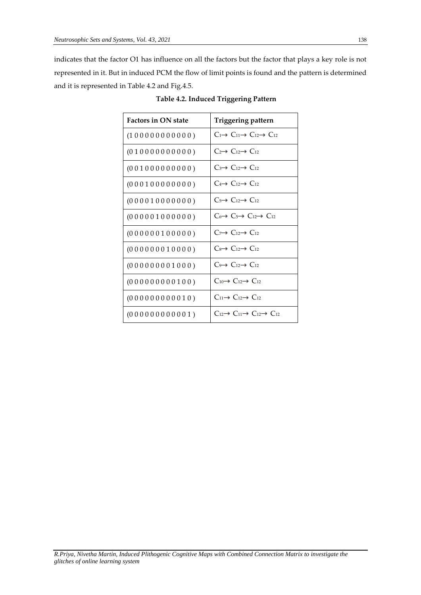indicates that the factor O1 has influence on all the factors but the factor that plays a key role is not represented in it. But in induced PCM the flow of limit points is found and the pattern is determined and it is represented in Table 4.2 and Fig.4.5.

| <b>Factors in ON state</b> | Triggering pattern                                                |
|----------------------------|-------------------------------------------------------------------|
| (100000000000)             | $C_1 \rightarrow C_1 \rightarrow C_1 \rightarrow C_1$             |
| (01000000000)              | $C_2 \rightarrow C_{12} \rightarrow C_{12}$                       |
| (001000000000)             | $C_3 \rightarrow C_{12} \rightarrow C_{12}$                       |
| (000100000000)             | $C_4 \rightarrow C_{12} \rightarrow C_{12}$                       |
| (000010000000)             | $C_5 \rightarrow C_{12} \rightarrow C_{12}$                       |
| (000001000000)             | $C_6 \rightarrow C_5 \rightarrow C_{12} \rightarrow C_{12}$       |
| (000000100000)             | $C_7 \rightarrow C_{12} \rightarrow C_{12}$                       |
| (000000010000)             | $C_8 \rightarrow C_{12} \rightarrow C_{12}$                       |
| (000000001000)             | $C_9 \rightarrow C_{12} \rightarrow C_{12}$                       |
| (000000000100)             | $C_{10} \rightarrow C_{12} \rightarrow C_{12}$                    |
| (000000000010)             | $C_{11} \rightarrow C_{12} \rightarrow C_{12}$                    |
| (000000000001)             | $C_{12} \rightarrow C_{11} \rightarrow C_{12} \rightarrow C_{12}$ |

**Table 4.2. Induced Triggering Pattern**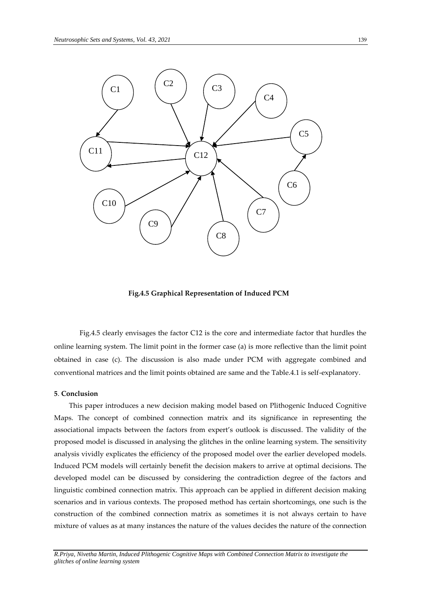

 **Fig.4.5 Graphical Representation of Induced PCM** 

Fig.4.5 clearly envisages the factor C12 is the core and intermediate factor that hurdles the online learning system. The limit point in the former case (a) is more reflective than the limit point obtained in case (c). The discussion is also made under PCM with aggregate combined and conventional matrices and the limit points obtained are same and the Table.4.1 is self-explanatory.

#### **5**. **Conclusion**

This paper introduces a new decision making model based on Plithogenic Induced Cognitive Maps. The concept of combined connection matrix and its significance in representing the associational impacts between the factors from expert's outlook is discussed. The validity of the proposed model is discussed in analysing the glitches in the online learning system. The sensitivity analysis vividly explicates the efficiency of the proposed model over the earlier developed models. Induced PCM models will certainly benefit the decision makers to arrive at optimal decisions. The developed model can be discussed by considering the contradiction degree of the factors and linguistic combined connection matrix. This approach can be applied in different decision making scenarios and in various contexts. The proposed method has certain shortcomings, one such is the construction of the combined connection matrix as sometimes it is not always certain to have mixture of values as at many instances the nature of the values decides the nature of the connection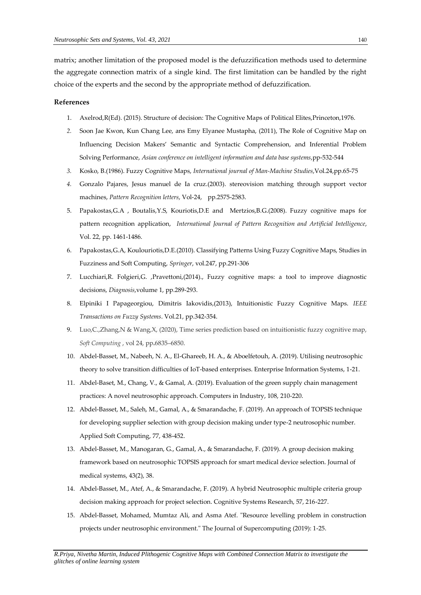matrix; another limitation of the proposed model is the defuzzification methods used to determine the aggregate connection matrix of a single kind. The first limitation can be handled by the right choice of the experts and the second by the appropriate method of defuzzification.

# **References**

- 1. Axelrod,R(Ed). (2015). Structure of decision: The Cognitive Maps of Political Elites,Princeton,1976.
- *2.* Soon Jae Kwon, Kun Chang Lee, ans Emy Elyanee Mustapha, (2011), The Role of Cognitive Map on Influencing Decision Makers' Semantic and Syntactic Comprehension, and Inferential Problem Solving Performance, *Asian conference on intelligent information and data base systems*,pp-532-544
- *3.* Kosko, B.(1986). Fuzzy Cognitive Maps, *International journal of Man-Machine Studies*,Vol.24,pp.65-75
- *4.* Gonzalo Pajares, Jesus manuel de Ia cruz.(2003). stereovision matching through support vector machines, *Pattern Recognition letters*, Vol-24, pp.2575-2583.
- 5. Papakostas,G.A , Boutalis,Y.S, Kouriotis,D.E and Mertzios,B.G.(2008). Fuzzy cognitive maps for pattern recognition application, *International Journal of Pattern Recognition and Artificial Intelligence*, Vol. 22, pp. 1461-1486.
- 6. Papakostas,G.A, Koulouriotis,D.E.(2010). Classifying Patterns Using Fuzzy Cognitive Maps, Studies in Fuzziness and Soft Computing, *Springer*, vol.247, pp.291-306
- 7. Lucchiari,R. Folgieri,G. ,Pravettoni,(2014)., Fuzzy cognitive maps: a tool to improve diagnostic decisions, *Diagnosis*,volume 1, pp.289-293.
- 8. Elpiniki I Papageorgiou, Dimitris Iakovidis,(2013), Intuitionistic Fuzzy Cognitive Maps. *IEEE Transactions on Fuzzy Systems*. Vol.21, pp.342-354.
- 9. Luo,C.,Zhang,N & Wang,X, (2020), Time series prediction based on intuitionistic fuzzy cognitive map, *Soft Computing* , vol 24, pp**.**6835–6850.
- 10. Abdel-Basset, M., Nabeeh, N. A., El-Ghareeb, H. A., & Aboelfetouh, A. (2019). Utilising neutrosophic theory to solve transition difficulties of IoT-based enterprises. Enterprise Information Systems, 1-21.
- 11. Abdel-Baset, M., Chang, V., & Gamal, A. (2019). Evaluation of the green supply chain management practices: A novel neutrosophic approach. Computers in Industry, 108, 210-220.
- 12. Abdel-Basset, M., Saleh, M., Gamal, A., & Smarandache, F. (2019). An approach of TOPSIS technique for developing supplier selection with group decision making under type-2 neutrosophic number. Applied Soft Computing, 77, 438-452.
- 13. Abdel-Basset, M., Manogaran, G., Gamal, A., & Smarandache, F. (2019). A group decision making framework based on neutrosophic TOPSIS approach for smart medical device selection. Journal of medical systems, 43(2), 38.
- 14. Abdel-Basset, M., Atef, A., & Smarandache, F. (2019). A hybrid Neutrosophic multiple criteria group decision making approach for project selection. Cognitive Systems Research, 57, 216-227.
- 15. Abdel-Basset, Mohamed, Mumtaz Ali, and Asma Atef. "Resource levelling problem in construction projects under neutrosophic environment." The Journal of Supercomputing (2019): 1-25.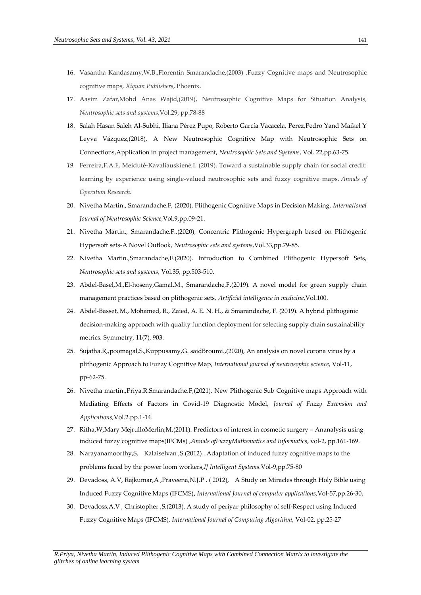- 16. Vasantha Kandasamy,W.B.,Florentin Smarandache,(2003) .Fuzzy Cognitive maps and Neutrosophic cognitive maps, *Xiquan Publishers*, Phoenix.
- 17. Aasim Zafar,Mohd Anas Wajid,(2019), Neutrosophic Cognitive Maps for Situation Analysis*, Neutrosophic sets and systems*,Vol.29, pp.78-88
- 18. Salah Hasan Saleh Al-Subhi, Iliana Pérez Pupo, Roberto García Vacacela, Perez,Pedro Yand Maikel Y Leyva Vázquez,(2018), A New Neutrosophic Cognitive Map with Neutrosophic Sets on Connections,Application in project management, *Neutrosophic Sets and Systems*, Vol. 22,pp.63-75.
- *19.* Ferreira,F.A.F, Meidutė-Kavaliauskienė,I. (2019). Toward a sustainable supply chain for social credit: learning by experience using single-valued neutrosophic sets and fuzzy cognitive maps. *Annals of Operation Research.*
- 20. Nivetha Martin., Smarandache.F, (2020), Plithogenic Cognitive Maps in Decision Making, *International Journal of Neutrosophic Science*,Vol.9,pp.09-21.
- 21. Nivetha Martin., Smarandache.F.,(2020), Concentric Plithogenic Hypergraph based on Plithogenic Hypersoft sets-A Novel Outlook, *Neutrosophic sets and systems*,Vol.33,pp.79-85.
- 22. Nivetha Martin.,Smarandache,F.(2020). Introduction to Combined Plithogenic Hypersoft Sets, *Neutrosophic sets and systems*, Vol.35, pp.503-510.
- 23. Abdel-Basel,M.,El-hoseny,Gamal.M., Smarandache,F.(2019). A novel model for green supply chain management practices based on plithogenic sets*, Artificial intelligence in medicine*,Vol.100.
- 24. Abdel-Basset, M., Mohamed, R., Zaied, A. E. N. H., & Smarandache, F. (2019). A hybrid plithogenic decision-making approach with quality function deployment for selecting supply chain sustainability metrics. Symmetry, 11(7), 903.
- 25. Sujatha.R,,poomagal,S.,Kuppusamy,G. saidBroumi.,(2020), An analysis on novel corona virus by a plithogenic Approach to Fuzzy Cognitive Map, *International journal of neutrosophic science*, Vol-11, pp-62-75.
- 26. Nivetha martin.,Priya.R.Smarandache.F,(2021), New Plithogenic Sub Cognitive maps Approach with Mediating Effects of Factors in Covid-19 Diagnostic Model, *Journal of Fuzzy Extension and Applications,*Vol.2.pp.1-14.
- 27. Ritha,W,Mary MejrulloMerlin,M.(2011). Predictors of interest in cosmetic surgery Ananalysis using induced fuzzy cognitive maps(IFCMs) ,*Annals ofFuzzyMathematics and Informatics*, vol-2, pp.161-169.
- 28. [Narayanamoorthy,S](https://scholar.google.co.in/citations?user=67lGruIAAAAJ&hl=en&oi=sra), [Kalaiselvan](https://scholar.google.co.in/citations?user=pVmXwxIAAAAJ&hl=en&oi=sra) ,S.(2012) [. Adaptation of induced fuzzy cognitive maps to the](https://core.ac.uk/download/pdf/204335406.pdf)  [problems faced by the power loom workers,](https://core.ac.uk/download/pdf/204335406.pdf)*IJ Intelligent Systems*.Vol-9,pp.75-80
- 29. Devadoss, A.V, Rajkumar,A [,Praveena,](https://scholar.google.co.in/citations?user=nONVgewAAAAJ&hl=en&oi=sra)N.J.P . ( 2012), [A Study on Miracles through Holy Bible using](http://citeseerx.ist.psu.edu/viewdoc/download?doi=10.1.1.735.1099&rep=rep1&type=pdf)  [Induced Fuzzy Cognitive Maps \(IFCMS\)](http://citeseerx.ist.psu.edu/viewdoc/download?doi=10.1.1.735.1099&rep=rep1&type=pdf)**,** *International Journal of computer applications,*Vol-57,pp.26-30.
- 30. Devadoss,A.V , Christopher ,S.(2013). A study of periyar philosophy of self-Respect using Induced Fuzzy Cognitive Maps (IFCMS), *International Journal of Computing Algorithm*, Vol-02, pp.25-27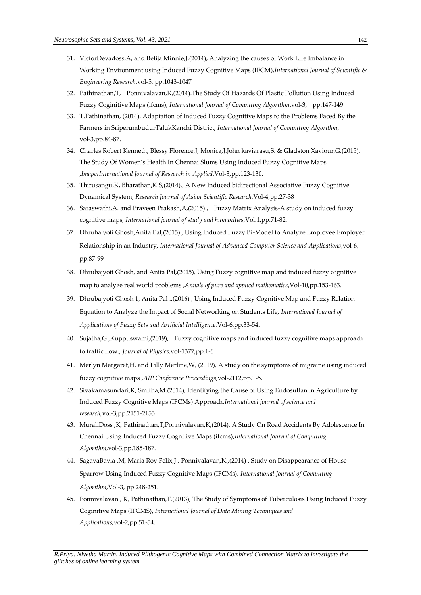- 31. VictorDevadoss,A, and Befija Minnie,J.(2014), Analyzing the causes of Work Life Imbalance in Working Environment using Induced Fuzzy Cognitive Maps (IFCM),*International Journal of Scientific & Engineering Research*,vol-5, pp.1043-1047
- 32. Pathinathan,T, Ponnivalavan,K,(2014[\).The Study Of Hazards Of Plastic Pollution Using Induced](http://www.hindex.org/download.php?page=827)  [Fuzzy Coginitive Maps \(ifcms\)](http://www.hindex.org/download.php?page=827)**,** *International Journal of Computing Algorithm*.vol-3, pp.147-149
- 33. T.Pathinathan, (2014)[, Adaptation of Induced Fuzzy Cognitive Maps to the Problems Faced By the](http://hindex.org/download.php?page=594)  [Farmers in SriperumbudurTalukKanchi District](http://hindex.org/download.php?page=594)**,** *International Journal of Computing Algorithm*, vol-3,pp.84-87.
- 34. Charles Robert Kenneth, Blessy Florence,J, Monica,J.John kaviarasu,S. & Gladston Xaviour,G.(2015). The Study Of Women's Health In Chennai Slums Using Induced Fuzzy Cognitive Maps ,*ImapctInternational Journal of Research in Applied*,Vol-3,pp.123-130.
- 35. Thirusangu,K**,** Bharathan,K.S,(2014)., A New Induced bidirectional Associative Fuzzy Cognitive Dynamical System, *Research Journal of Asian Scientific Research*,Vol-4,pp.27-38
- 36. Saraswathi,A. and Praveen Prakash,A,(2015)., Fuzzy Matrix Analysis-A study on induced fuzzy cognitive maps, *International journal of study and humanities*,Vol.1,pp.71-82.
- 37. Dhrubajyoti Ghosh,Anita Pal,(2015) , Using Induced Fuzzy Bi-Model to Analyze Employee Employer Relationship in an Industry, *International Journal of Advanced Computer Science and Applications*,vol-6, pp.87-99
- 38. Dhrubajyoti Ghosh, and Anita Pal,(2015), Using Fuzzy cognitive map and induced fuzzy cognitive map to analyze real world problems ,*Annals of pure and applied mathematics*,Vol-10,pp.153-163.
- 39. Dhrubajyoti Ghosh 1, Anita Pal .,(2016) , Using Induced Fuzzy Cognitive Map and Fuzzy Relation Equation to Analyze the Impact of Social Networking on Students Life, *International Journal of Applications of Fuzzy Sets and Artificial Intelligence.*Vol-6,pp.33-54.
- 40. Sujatha,G ,Kuppuswami,(2019), Fuzzy cognitive maps and induced fuzzy cognitive maps approach to traffic flow., *Journal of Physics,*vol-1377,pp.1-6
- 41. [Merlyn Margaret,](https://aip.scitation.org/author/Margaret%2C+H+Merlyn)H. an[d Lilly Merline,W](https://aip.scitation.org/author/Merline%2C+W+Lilly), (2019), A study on the symptoms of migraine using induced fuzzy cognitive maps ,*AIP Conference Proceedings*,vol-2112,pp.1-5.
- 42. [Sivakamasundari,](https://www.semanticscholar.org/author/K.-Sivakamasundari/70351144)K[, Smitha,M](https://www.semanticscholar.org/author/M.-Smitha/144153354).(2014), Identifying the Cause of Using Endosulfan in Agriculture by Induced Fuzzy Cognitive Maps (IFCMs) Approach,*International journal of science and research,*vol-3,pp.2151-2155
- 43. MuraliDoss ,K, Pathinathan,T,Ponnivalavan,K,(2014)[, A Study On Road Accidents By Adolescence In](http://www.hindex.org/download.php?page=835)  [Chennai Using Induced Fuzzy Cognitive Maps \(ifcms\),](http://www.hindex.org/download.php?page=835)*International Journal of Computing Algorithm,*vol-3,pp.185-187.
- 44. SagayaBavia ,M, Maria Roy Felix,J., Ponnivalavan,K.,(2014) , Study on Disappearance of House Sparrow Using Induced Fuzzy Cognitive Maps (IFCMs), *International Journal of Computing Algorithm,*Vol-3, pp.248-251.
- 45. Ponnivalavan , K, Pathinathan,T.(2013), [The Study of Symptoms of Tuberculosis Using Induced Fuzzy](http://www.hindex.org/download.php?page=1102)  [Coginitive Maps \(IFCMS\)](http://www.hindex.org/download.php?page=1102)**,** *International Journal of Data Mining Techniques and Applications,*vol-2,pp.51-54.